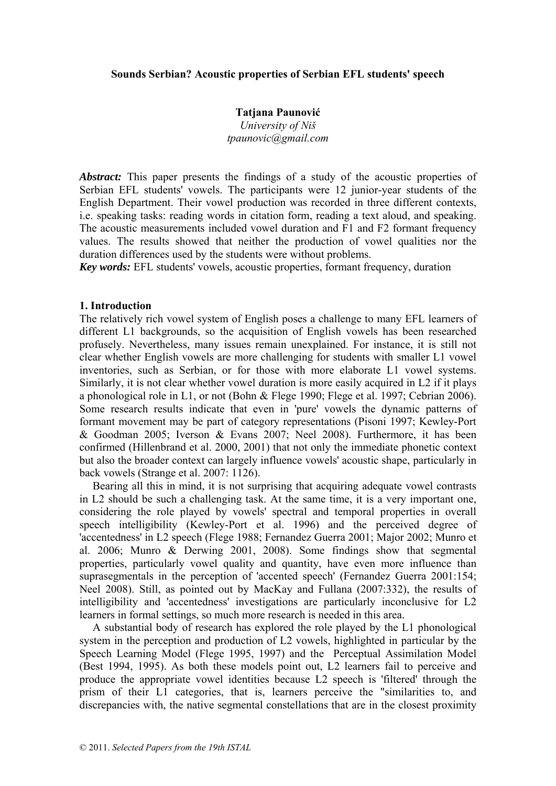## **Sounds Serbian? Acoustic properties of Serbian EFL students' speech**

**Tatjana Paunović** *University of Niš tpaunovic@gmail.com* 

*Abstract:* This paper presents the findings of a study of the acoustic properties of Serbian EFL students' vowels. The participants were 12 junior-year students of the English Department. Their vowel production was recorded in three different contexts, i.e. speaking tasks: reading words in citation form, reading a text aloud, and speaking. The acoustic measurements included vowel duration and F1 and F2 formant frequency values. The results showed that neither the production of vowel qualities nor the duration differences used by the students were without problems.

*Key words:* EFL students' vowels, acoustic properties, formant frequency, duration

## **1. Introduction**

The relatively rich vowel system of English poses a challenge to many EFL learners of different L1 backgrounds, so the acquisition of English vowels has been researched profusely. Nevertheless, many issues remain unexplained. For instance, it is still not clear whether English vowels are more challenging for students with smaller L1 vowel inventories, such as Serbian, or for those with more elaborate L1 vowel systems. Similarly, it is not clear whether vowel duration is more easily acquired in L2 if it plays a phonological role in L1, or not (Bohn & Flege 1990; Flege et al. 1997; Cebrian 2006). Some research results indicate that even in 'pure' vowels the dynamic patterns of formant movement may be part of category representations (Pisoni 1997; Kewley-Port & Goodman 2005; Iverson & Evans 2007; Neel 2008). Furthermore, it has been confirmed (Hillenbrand et al. 2000, 2001) that not only the immediate phonetic context but also the broader context can largely influence vowels' acoustic shape, particularly in back vowels (Strange et al. 2007: 1126).

Bearing all this in mind, it is not surprising that acquiring adequate vowel contrasts in L2 should be such a challenging task. At the same time, it is a very important one, considering the role played by vowels' spectral and temporal properties in overall speech intelligibility (Kewley-Port et al. 1996) and the perceived degree of 'accentedness' in L2 speech (Flege 1988; Fernandez Guerra 2001; Major 2002; Munro et al. 2006; Munro & Derwing 2001, 2008). Some findings show that segmental properties, particularly vowel quality and quantity, have even more influence than suprasegmentals in the perception of 'accented speech' (Fernandez Guerra 2001:154; Neel 2008). Still, as pointed out by MacKay and Fullana (2007:332), the results of intelligibility and 'accentedness' investigations are particularly inconclusive for L2 learners in formal settings, so much more research is needed in this area.

A substantial body of research has explored the role played by the L1 phonological system in the perception and production of L2 vowels, highlighted in particular by the Speech Learning Model (Flege 1995, 1997) and the Perceptual Assimilation Model (Best 1994, 1995). As both these models point out, L2 learners fail to perceive and produce the appropriate vowel identities because L2 speech is 'filtered' through the prism of their L1 categories, that is, learners perceive the "similarities to, and discrepancies with, the native segmental constellations that are in the closest proximity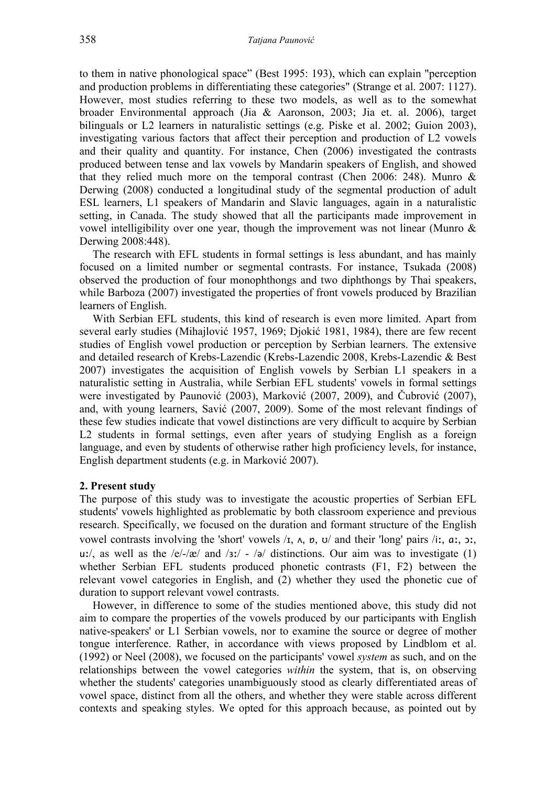to them in native phonological space" (Best 1995: 193), which can explain "perception and production problems in differentiating these categories" (Strange et al. 2007: 1127). However, most studies referring to these two models, as well as to the somewhat broader Environmental approach (Jia & Aaronson, 2003; Jia et. al. 2006), target bilinguals or L2 learners in naturalistic settings (e.g. Piske et al. 2002; Guion 2003), investigating various factors that affect their perception and production of L2 vowels and their quality and quantity. For instance, Chen (2006) investigated the contrasts produced between tense and lax vowels by Mandarin speakers of English, and showed that they relied much more on the temporal contrast (Chen 2006: 248). Munro  $\&$ Derwing (2008) conducted a longitudinal study of the segmental production of adult ESL learners, L1 speakers of Mandarin and Slavic languages, again in a naturalistic setting, in Canada. The study showed that all the participants made improvement in vowel intelligibility over one year, though the improvement was not linear (Munro & Derwing 2008:448).

The research with EFL students in formal settings is less abundant, and has mainly focused on a limited number or segmental contrasts. For instance, Tsukada (2008) observed the production of four monophthongs and two diphthongs by Thai speakers, while Barboza (2007) investigated the properties of front vowels produced by Brazilian learners of English.

With Serbian EFL students, this kind of research is even more limited. Apart from several early studies (Mihajlović 1957, 1969; Djokić 1981, 1984), there are few recent studies of English vowel production or perception by Serbian learners. The extensive and detailed research of Krebs-Lazendic (Krebs-Lazendic 2008, Krebs-Lazendic & Best 2007) investigates the acquisition of English vowels by Serbian L1 speakers in a naturalistic setting in Australia, while Serbian EFL students' vowels in formal settings were investigated by Paunović (2003), Marković (2007, 2009), and Čubrović (2007), and, with young learners, Savić (2007, 2009). Some of the most relevant findings of these few studies indicate that vowel distinctions are very difficult to acquire by Serbian L<sub>2</sub> students in formal settings, even after years of studying English as a foreign language, and even by students of otherwise rather high proficiency levels, for instance, English department students (e.g. in Marković 2007).

### **2. Present study**

The purpose of this study was to investigate the acoustic properties of Serbian EFL students' vowels highlighted as problematic by both classroom experience and previous research. Specifically, we focused on the duration and formant structure of the English vowel contrasts involving the 'short' vowels  $\lambda$ ,  $\lambda$ ,  $\mu$ ,  $\sigma$ ,  $\sigma$  and their 'long' pairs  $\lambda$ i:,  $\alpha$ ;  $\sigma$ ; uː/, as well as the  $/e/-/æ/$  and  $/s/ - /a/$  distinctions. Our aim was to investigate (1) whether Serbian EFL students produced phonetic contrasts (F1, F2) between the relevant vowel categories in English, and (2) whether they used the phonetic cue of duration to support relevant vowel contrasts.

However, in difference to some of the studies mentioned above, this study did not aim to compare the properties of the vowels produced by our participants with English native-speakers' or L1 Serbian vowels, nor to examine the source or degree of mother tongue interference. Rather, in accordance with views proposed by Lindblom et al. (1992) or Neel (2008), we focused on the participants' vowel *system* as such, and on the relationships between the vowel categories *within* the system, that is, on observing whether the students' categories unambiguously stood as clearly differentiated areas of vowel space, distinct from all the others, and whether they were stable across different contexts and speaking styles. We opted for this approach because, as pointed out by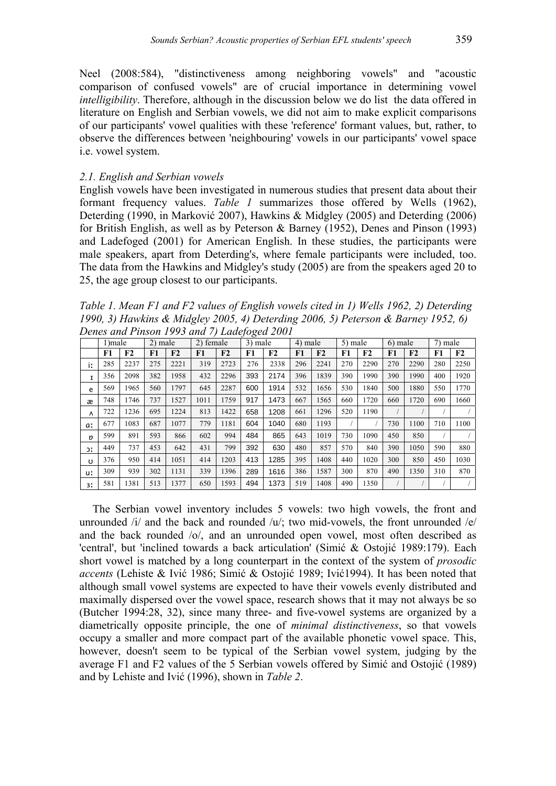Neel (2008:584), "distinctiveness among neighboring vowels" and "acoustic comparison of confused vowels" are of crucial importance in determining vowel *intelligibility*. Therefore, although in the discussion below we do list the data offered in literature on English and Serbian vowels, we did not aim to make explicit comparisons of our participants' vowel qualities with these 'reference' formant values, but, rather, to observe the differences between 'neighbouring' vowels in our participants' vowel space i.e. vowel system.

# *2.1. English and Serbian vowels*

English vowels have been investigated in numerous studies that present data about their formant frequency values. *Table 1* summarizes those offered by Wells (1962), Deterding (1990, in Marković 2007), Hawkins & Midgley (2005) and Deterding (2006) for British English, as well as by Peterson & Barney (1952), Denes and Pinson (1993) and Ladefoged (2001) for American English. In these studies, the participants were male speakers, apart from Deterding's, where female participants were included, too. The data from the Hawkins and Midgley's study (2005) are from the speakers aged 20 to 25, the age group closest to our participants.

*Table 1. Mean F1 and F2 values of English vowels cited in 1) Wells 1962, 2) Deterding 1990, 3) Hawkins & Midgley 2005, 4) Deterding 2006, 5) Peterson & Barney 1952, 6) Denes and Pinson 1993 and 7) Ladefoged 2001* 

|     | 1) male |      | $2)$ male |      | 2) female |                | 3) male |      | 4) male |                | 5) male |      | 6) male |      | 7) male |      |
|-----|---------|------|-----------|------|-----------|----------------|---------|------|---------|----------------|---------|------|---------|------|---------|------|
|     | F1      | F2   | F1        | F2   | F1        | F <sub>2</sub> | F1      | F2   | F1      | F <sub>2</sub> | F1      | F2   | F1      | F2   | F1      | F2   |
| ir  | 285     | 2237 | 275       | 2221 | 319       | 2723           | 276     | 2338 | 296     | 2241           | 270     | 2290 | 270     | 2290 | 280     | 2250 |
| I   | 356     | 2098 | 382       | 1958 | 432       | 2296           | 393     | 2174 | 396     | 1839           | 390     | 1990 | 390     | 1990 | 400     | 1920 |
| e   | 569     | 1965 | 560       | 1797 | 645       | 2287           | 600     | 1914 | 532     | 1656           | 530     | 1840 | 500     | 1880 | 550     | 1770 |
| æ   | 748     | 1746 | 737       | 1527 | 1011      | 1759           | 917     | 1473 | 667     | 1565           | 660     | 1720 | 660     | 1720 | 690     | 1660 |
| Λ   | 722     | 1236 | 695       | 1224 | 813       | 1422           | 658     | 1208 | 661     | 1296           | 520     | 1190 |         |      |         |      |
| a:  | 677     | 1083 | 687       | 1077 | 779       | 1181           | 604     | 1040 | 680     | 1193           |         |      | 730     | 1100 | 710     | 1100 |
| D   | 599     | 891  | 593       | 866  | 602       | 994            | 484     | 865  | 643     | 1019           | 730     | 1090 | 450     | 850  |         |      |
| JI. | 449     | 737  | 453       | 642  | 431       | 799            | 392     | 630  | 480     | 857            | 570     | 840  | 390     | 1050 | 590     | 880  |
| Ω   | 376     | 950  | 414       | 1051 | 414       | 1203           | 413     | 1285 | 395     | 1408           | 440     | 1020 | 300     | 850  | 450     | 1030 |
| u:  | 309     | 939  | 302       | 1131 | 339       | 1396           | 289     | 1616 | 386     | 1587           | 300     | 870  | 490     | 1350 | 310     | 870  |
| 31  | 581     | 1381 | 513       | 1377 | 650       | 1593           | 494     | 1373 | 519     | 1408           | 490     | 1350 |         |      |         |      |

The Serbian vowel inventory includes 5 vowels: two high vowels, the front and unrounded  $\pi$  and the back and rounded  $\pi$ ; two mid-vowels, the front unrounded  $\pi$ /e/ and the back rounded /o/, and an unrounded open vowel, most often described as 'central', but 'inclined towards a back articulation' (Simić & Ostojić 1989:179). Each short vowel is matched by a long counterpart in the context of the system of *prosodic accents* (Lehiste & Ivić 1986; Simić & Ostojić 1989; Ivić1994). It has been noted that although small vowel systems are expected to have their vowels evenly distributed and maximally dispersed over the vowel space, research shows that it may not always be so (Butcher 1994:28, 32), since many three- and five-vowel systems are organized by a diametrically opposite principle, the one of *minimal distinctiveness*, so that vowels occupy a smaller and more compact part of the available phonetic vowel space. This, however, doesn't seem to be typical of the Serbian vowel system, judging by the average F1 and F2 values of the 5 Serbian vowels offered by Simić and Ostojić (1989) and by Lehiste and Ivić (1996), shown in *Table 2*.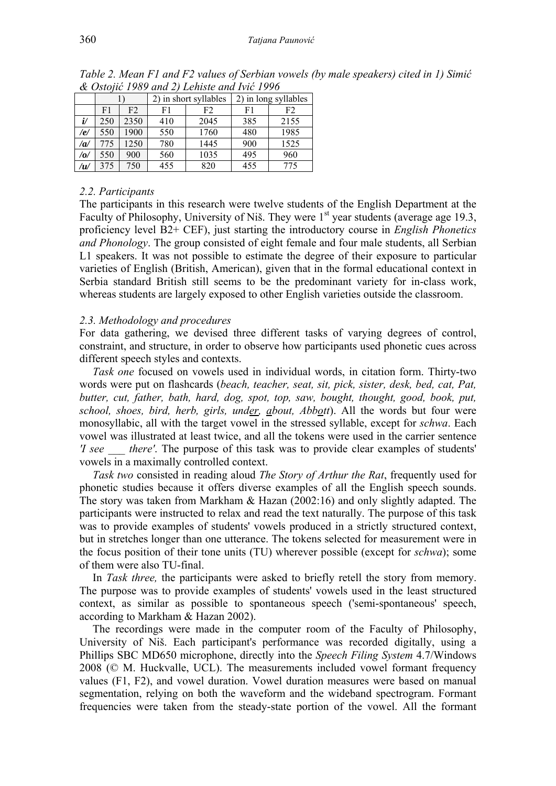|     |                      |      |     | 2) in short syllables | 2) in long syllables |      |  |  |
|-----|----------------------|------|-----|-----------------------|----------------------|------|--|--|
|     | F <sub>2</sub><br>F1 |      | F1  | F2                    | F1                   | F2   |  |  |
| i/  | 250                  | 2350 | 410 | 2045                  | 385                  | 2155 |  |  |
| /e/ | 550                  | 1900 | 550 | 1760                  | 480                  | 1985 |  |  |
| a   | 775                  | 1250 | 780 | 1445                  | 900                  | 1525 |  |  |
| /0/ | 550                  | 900  | 560 | 1035                  | 495                  | 960  |  |  |
| /u/ | 375                  | 750  | 455 | 820                   | 455                  | 775  |  |  |

*Table 2. Mean F1 and F2 values of Serbian vowels (by male speakers) cited in 1) Simić & Ostojić 1989 and 2) Lehiste and Ivić 1996* 

# *2.2. Participants*

The participants in this research were twelve students of the English Department at the Faculty of Philosophy, University of Niš. They were  $1<sup>st</sup>$  year students (average age 19.3, proficiency level B2+ CEF), just starting the introductory course in *English Phonetics and Phonology*. The group consisted of eight female and four male students, all Serbian L1 speakers. It was not possible to estimate the degree of their exposure to particular varieties of English (British, American), given that in the formal educational context in Serbia standard British still seems to be the predominant variety for in-class work, whereas students are largely exposed to other English varieties outside the classroom.

# *2.3. Methodology and procedures*

For data gathering, we devised three different tasks of varying degrees of control, constraint, and structure, in order to observe how participants used phonetic cues across different speech styles and contexts.

*Task one* focused on vowels used in individual words, in citation form. Thirty-two words were put on flashcards (*beach, teacher, seat, sit, pick, sister, desk, bed, cat, Pat, butter, cut, father, bath, hard, dog, spot, top, saw, bought, thought, good, book, put, school, shoes, bird, herb, girls, under, about, Abbott*). All the words but four were monosyllabic, all with the target vowel in the stressed syllable, except for *schwa*. Each vowel was illustrated at least twice, and all the tokens were used in the carrier sentence *'I see \_\_\_ there'*. The purpose of this task was to provide clear examples of students' vowels in a maximally controlled context.

*Task two* consisted in reading aloud *The Story of Arthur the Rat*, frequently used for phonetic studies because it offers diverse examples of all the English speech sounds. The story was taken from Markham & Hazan (2002:16) and only slightly adapted. The participants were instructed to relax and read the text naturally. The purpose of this task was to provide examples of students' vowels produced in a strictly structured context, but in stretches longer than one utterance. The tokens selected for measurement were in the focus position of their tone units (TU) wherever possible (except for *schwa*); some of them were also TU-final.

In *Task three,* the participants were asked to briefly retell the story from memory. The purpose was to provide examples of students' vowels used in the least structured context, as similar as possible to spontaneous speech ('semi-spontaneous' speech, according to Markham & Hazan 2002).

The recordings were made in the computer room of the Faculty of Philosophy, University of Niš. Each participant's performance was recorded digitally, using a Phillips SBC MD650 microphone, directly into the *Speech Filing System* 4.7/Windows 2008 (© M. Huckvalle, UCL). The measurements included vowel formant frequency values (F1, F2), and vowel duration. Vowel duration measures were based on manual segmentation, relying on both the waveform and the wideband spectrogram. Formant frequencies were taken from the steady-state portion of the vowel. All the formant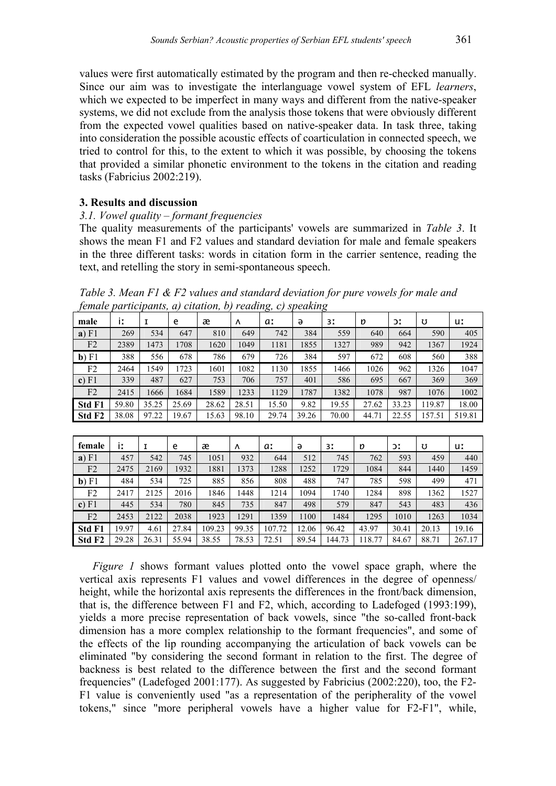values were first automatically estimated by the program and then re-checked manually. Since our aim was to investigate the interlanguage vowel system of EFL *learners*, which we expected to be imperfect in many ways and different from the native-speaker systems, we did not exclude from the analysis those tokens that were obviously different from the expected vowel qualities based on native-speaker data. In task three, taking into consideration the possible acoustic effects of coarticulation in connected speech, we tried to control for this, to the extent to which it was possible, by choosing the tokens that provided a similar phonetic environment to the tokens in the citation and reading tasks (Fabricius 2002:219).

# **3. Results and discussion**

# *3.1. Vowel quality – formant frequencies*

The quality measurements of the participants' vowels are summarized in *Table 3*. It shows the mean F1 and F2 values and standard deviation for male and female speakers in the three different tasks: words in citation form in the carrier sentence, reading the text, and retelling the story in semi-spontaneous speech.

*Table 3. Mean F1 & F2 values and standard deviation for pure vowels for male and female participants, a) citation, b) reading, c) speaking* 

| male               | İI    |       | e     | æ     | Λ     | a:    | ə     | 31    | n     | ЭI    | Ω      | uː     |
|--------------------|-------|-------|-------|-------|-------|-------|-------|-------|-------|-------|--------|--------|
| a) F1              | 269   | 534   | 647   | 810   | 649   | 742   | 384   | 559   | 640   | 664   | 590    | 405    |
| F <sub>2</sub>     | 2389  | 1473  | 1708  | 1620  | 1049  | 1181  | 1855  | 1327  | 989   | 942   | 1367   | 1924   |
| $\mathbf{b})$ F1   | 388   | 556   | 678   | 786   | 679   | 726   | 384   | 597   | 672   | 608   | 560    | 388    |
| F2                 | 2464  | 1549  | 1723  | 1601  | 1082  | 1130  | 1855  | 1466  | 1026  | 962   | 1326   | 1047   |
| c) F1              | 339   | 487   | 627   | 753   | 706   | 757   | 401   | 586   | 695   | 667   | 369    | 369    |
| F2                 | 2415  | 1666  | 1684  | 1589  | 1233  | 1129  | 1787  | 1382  | 1078  | 987   | 1076   | 1002   |
| <b>Std F1</b>      | 59.80 | 35.25 | 25.69 | 28.62 | 28.51 | 15.50 | 9.82  | 19.55 | 27.62 | 33.23 | 119.87 | 18.00  |
| Std F <sub>2</sub> | 38.08 | 97.22 | 19.67 | 15.63 | 98.10 | 29.74 | 39.26 | 70.00 | 44.71 | 22.55 | 157.51 | 519.81 |

| female             | İI    |       | e     | æ      | Λ     | a:     | ə     | 31     | D     | DΙ    | Ω     | uː     |
|--------------------|-------|-------|-------|--------|-------|--------|-------|--------|-------|-------|-------|--------|
| a) F1              | 457   | 542   | 745   | 1051   | 932   | 644    | 512   | 745    | 762   | 593   | 459   | 440    |
| F <sub>2</sub>     | 2475  | 2169  | 1932  | 1881   | 1373  | 1288   | 1252  | 1729   | 1084  | 844   | 1440  | 1459   |
| $\mathbf{b})$ F1   | 484   | 534   | 725   | 885    | 856   | 808    | 488   | 747    | 785   | 598   | 499   | 471    |
| F <sub>2</sub>     | 2417  | 2125  | 2016  | 1846   | 1448  | 1214   | 1094  | 1740   | 1284  | 898   | 1362  | 1527   |
| c) F1              | 445   | 534   | 780   | 845    | 735   | 847    | 498   | 579    | 847   | 543   | 483   | 436    |
| F2                 | 2453  | 2122  | 2038  | 1923   | 1291  | 1359   | 1100  | 1484   | 1295  | 1010  | 1263  | 1034   |
| Std F1             | 19.97 | 4.61  | 27.84 | 109.23 | 99.35 | 107.72 | 12.06 | 96.42  | 43.97 | 30.41 | 20.13 | 19.16  |
| Std F <sub>2</sub> | 29.28 | 26.31 | 55.94 | 38.55  | 78.53 | 72.51  | 89.54 | 144.73 | 18.77 | 84.67 | 88.71 | 267.17 |

*Figure 1* shows formant values plotted onto the vowel space graph, where the vertical axis represents F1 values and vowel differences in the degree of openness/ height, while the horizontal axis represents the differences in the front/back dimension, that is, the difference between F1 and F2, which, according to Ladefoged (1993:199), yields a more precise representation of back vowels, since "the so-called front-back dimension has a more complex relationship to the formant frequencies", and some of the effects of the lip rounding accompanying the articulation of back vowels can be eliminated "by considering the second formant in relation to the first. The degree of backness is best related to the difference between the first and the second formant frequencies" (Ladefoged 2001:177). As suggested by Fabricius (2002:220), too, the F2- F1 value is conveniently used "as a representation of the peripherality of the vowel tokens," since "more peripheral vowels have a higher value for F2-F1", while,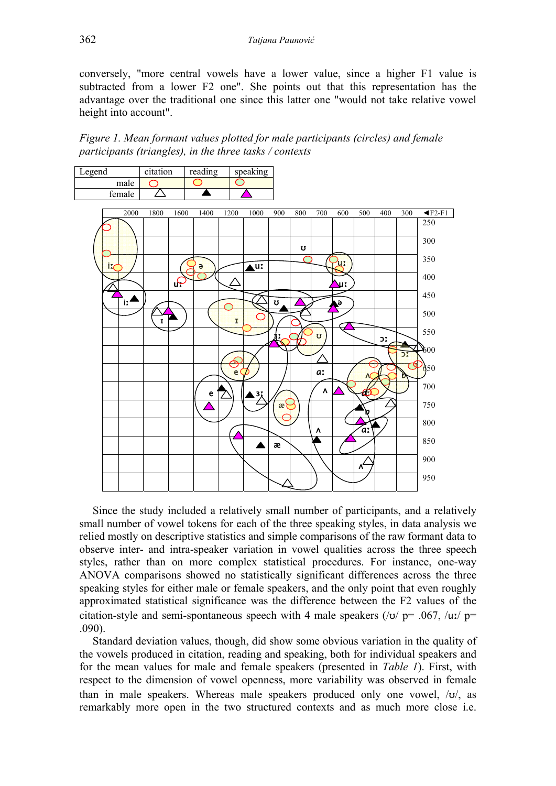conversely, "more central vowels have a lower value, since a higher F1 value is subtracted from a lower F2 one". She points out that this representation has the advantage over the traditional one since this latter one "would not take relative vowel height into account".

*Figure 1. Mean formant values plotted for male participants (circles) and female participants (triangles), in the three tasks / contexts* 



Since the study included a relatively small number of participants, and a relatively small number of vowel tokens for each of the three speaking styles, in data analysis we relied mostly on descriptive statistics and simple comparisons of the raw formant data to observe inter- and intra-speaker variation in vowel qualities across the three speech styles, rather than on more complex statistical procedures. For instance, one-way ANOVA comparisons showed no statistically significant differences across the three speaking styles for either male or female speakers, and the only point that even roughly approximated statistical significance was the difference between the F2 values of the citation-style and semi-spontaneous speech with 4 male speakers ( $\frac{1}{v}$  p= .067,  $\frac{1}{v}$  p= .090).

Standard deviation values, though, did show some obvious variation in the quality of the vowels produced in citation, reading and speaking, both for individual speakers and for the mean values for male and female speakers (presented in *Table 1*). First, with respect to the dimension of vowel openness, more variability was observed in female than in male speakers. Whereas male speakers produced only one vowel,  $\langle v \rangle$  as remarkably more open in the two structured contexts and as much more close i.e.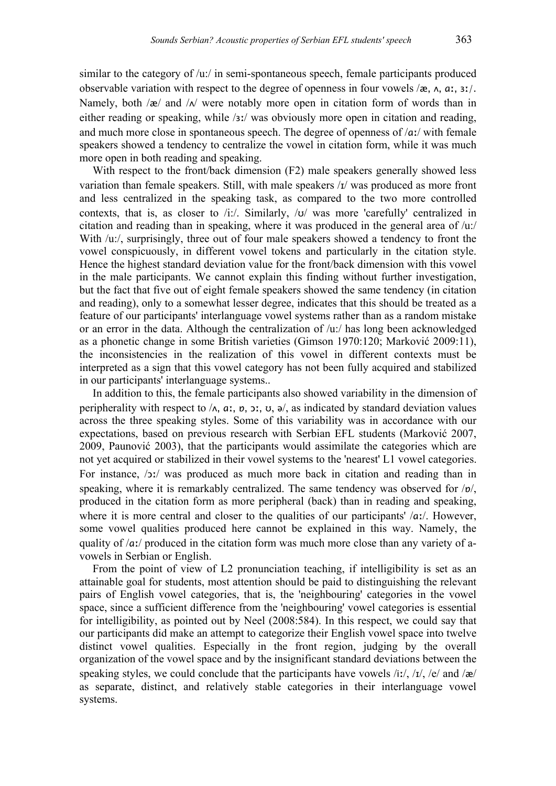similar to the category of /u:/ in semi-spontaneous speech, female participants produced observable variation with respect to the degree of openness in four vowels  $\alpha$ ,  $\alpha$ ,  $\alpha$ ,  $\alpha$ ,  $\alpha$ . Namely, both  $\alpha$  and  $\alpha$  were notably more open in citation form of words than in either reading or speaking, while /ɜː/ was obviously more open in citation and reading, and much more close in spontaneous speech. The degree of openness of /ɑː/ with female speakers showed a tendency to centralize the vowel in citation form, while it was much more open in both reading and speaking.

With respect to the front/back dimension (F2) male speakers generally showed less variation than female speakers. Still, with male speakers / $I$ / was produced as more front and less centralized in the speaking task, as compared to the two more controlled contexts, that is, as closer to  $/i$ :/. Similarly,  $/\sigma$  was more 'carefully' centralized in citation and reading than in speaking, where it was produced in the general area of /u:/ With  $/u$ :/, surprisingly, three out of four male speakers showed a tendency to front the vowel conspicuously, in different vowel tokens and particularly in the citation style. Hence the highest standard deviation value for the front/back dimension with this vowel in the male participants. We cannot explain this finding without further investigation, but the fact that five out of eight female speakers showed the same tendency (in citation and reading), only to a somewhat lesser degree, indicates that this should be treated as a feature of our participants' interlanguage vowel systems rather than as a random mistake or an error in the data. Although the centralization of /u:/ has long been acknowledged as a phonetic change in some British varieties (Gimson 1970:120; Marković 2009:11), the inconsistencies in the realization of this vowel in different contexts must be interpreted as a sign that this vowel category has not been fully acquired and stabilized in our participants' interlanguage systems..

In addition to this, the female participants also showed variability in the dimension of peripherality with respect to  $\Lambda$ ,  $a$ ,  $b$ ,  $b$ ,  $c$ ,  $d$ ,  $e$ ,  $e$ , as indicated by standard deviation values across the three speaking styles. Some of this variability was in accordance with our expectations, based on previous research with Serbian EFL students (Marković 2007, 2009, Paunović 2003), that the participants would assimilate the categories which are not yet acquired or stabilized in their vowel systems to the 'nearest' L1 vowel categories. For instance, /ɔː/ was produced as much more back in citation and reading than in speaking, where it is remarkably centralized. The same tendency was observed for /ɒ/, produced in the citation form as more peripheral (back) than in reading and speaking, where it is more central and closer to the qualities of our participants' /aː/. However, some vowel qualities produced here cannot be explained in this way. Namely, the quality of /aː/ produced in the citation form was much more close than any variety of avowels in Serbian or English.

From the point of view of L2 pronunciation teaching, if intelligibility is set as an attainable goal for students, most attention should be paid to distinguishing the relevant pairs of English vowel categories, that is, the 'neighbouring' categories in the vowel space, since a sufficient difference from the 'neighbouring' vowel categories is essential for intelligibility, as pointed out by Neel (2008:584). In this respect, we could say that our participants did make an attempt to categorize their English vowel space into twelve distinct vowel qualities. Especially in the front region, judging by the overall organization of the vowel space and by the insignificant standard deviations between the speaking styles, we could conclude that the participants have vowels /iː/, /ɪ/, /e/ and /æ/ as separate, distinct, and relatively stable categories in their interlanguage vowel systems.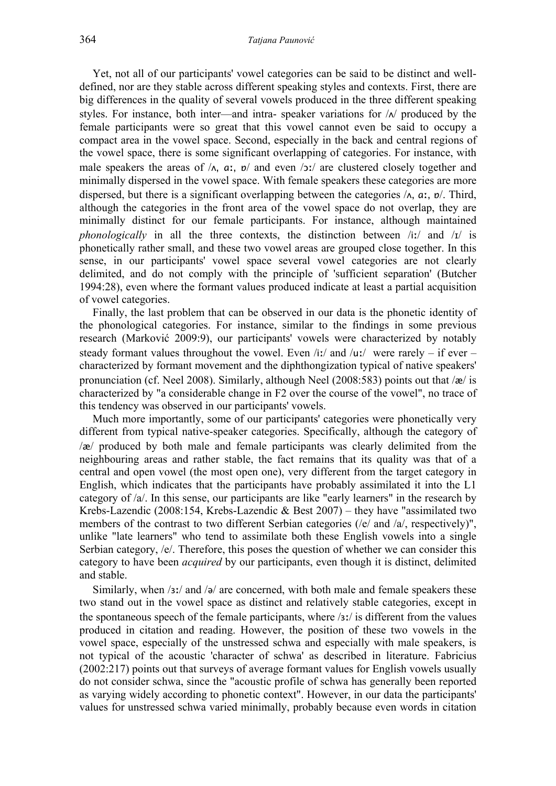Yet, not all of our participants' vowel categories can be said to be distinct and welldefined, nor are they stable across different speaking styles and contexts. First, there are big differences in the quality of several vowels produced in the three different speaking styles. For instance, both inter—and intra-speaker variations for  $\Lambda$  produced by the female participants were so great that this vowel cannot even be said to occupy a compact area in the vowel space. Second, especially in the back and central regions of the vowel space, there is some significant overlapping of categories. For instance, with male speakers the areas of  $\Lambda$ ,  $a$ ,  $b$  and even  $\Delta$ ; are clustered closely together and minimally dispersed in the vowel space. With female speakers these categories are more dispersed, but there is a significant overlapping between the categories  $/\lambda$ ,  $a$ ,  $b$ . Third, although the categories in the front area of the vowel space do not overlap, they are minimally distinct for our female participants. For instance, although maintained *phonologically* in all the three contexts, the distinction between /iː/ and /ɪ/ is phonetically rather small, and these two vowel areas are grouped close together. In this sense, in our participants' vowel space several vowel categories are not clearly delimited, and do not comply with the principle of 'sufficient separation' (Butcher 1994:28), even where the formant values produced indicate at least a partial acquisition of vowel categories.

Finally, the last problem that can be observed in our data is the phonetic identity of the phonological categories. For instance, similar to the findings in some previous research (Marković 2009:9), our participants' vowels were characterized by notably steady formant values throughout the vowel. Even /iː/ and /uː/ were rarely – if ever – characterized by formant movement and the diphthongization typical of native speakers' pronunciation (cf. Neel 2008). Similarly, although Neel (2008:583) points out that /æ/ is characterized by "a considerable change in F2 over the course of the vowel", no trace of this tendency was observed in our participants' vowels.

Much more importantly, some of our participants' categories were phonetically very different from typical native-speaker categories. Specifically, although the category of /æ/ produced by both male and female participants was clearly delimited from the neighbouring areas and rather stable, the fact remains that its quality was that of a central and open vowel (the most open one), very different from the target category in English, which indicates that the participants have probably assimilated it into the L1 category of /a/. In this sense, our participants are like "early learners" in the research by Krebs-Lazendic (2008:154, Krebs-Lazendic & Best 2007) – they have "assimilated two members of the contrast to two different Serbian categories (/e/ and /a/, respectively)", unlike "late learners" who tend to assimilate both these English vowels into a single Serbian category, /e/. Therefore, this poses the question of whether we can consider this category to have been *acquired* by our participants, even though it is distinct, delimited and stable.

Similarly, when /ɜː/ and /ə/ are concerned, with both male and female speakers these two stand out in the vowel space as distinct and relatively stable categories, except in the spontaneous speech of the female participants, where /ɜː/ is different from the values produced in citation and reading. However, the position of these two vowels in the vowel space, especially of the unstressed schwa and especially with male speakers, is not typical of the acoustic 'character of schwa' as described in literature. Fabricius (2002:217) points out that surveys of average formant values for English vowels usually do not consider schwa, since the "acoustic profile of schwa has generally been reported as varying widely according to phonetic context". However, in our data the participants' values for unstressed schwa varied minimally, probably because even words in citation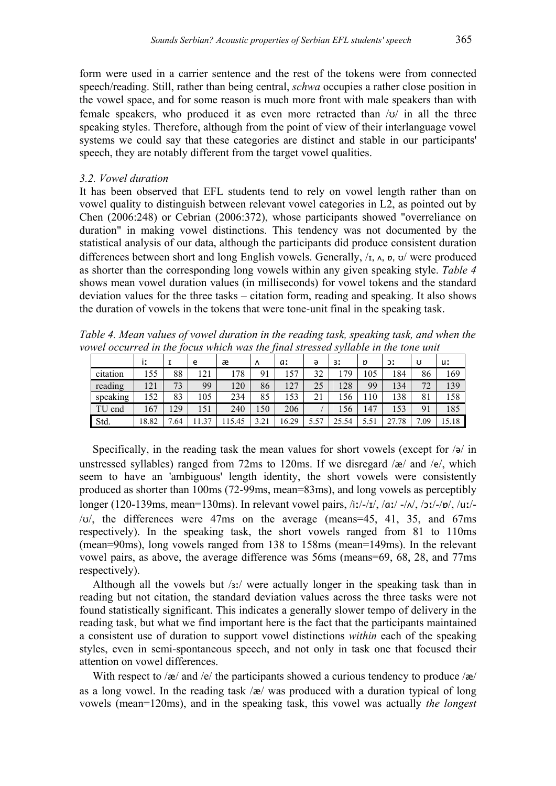form were used in a carrier sentence and the rest of the tokens were from connected speech/reading. Still, rather than being central, *schwa* occupies a rather close position in the vowel space, and for some reason is much more front with male speakers than with female speakers, who produced it as even more retracted than  $\sqrt{v}$  in all the three speaking styles. Therefore, although from the point of view of their interlanguage vowel systems we could say that these categories are distinct and stable in our participants' speech, they are notably different from the target vowel qualities.

## *3.2. Vowel duration*

It has been observed that EFL students tend to rely on vowel length rather than on vowel quality to distinguish between relevant vowel categories in L2, as pointed out by Chen (2006:248) or Cebrian (2006:372), whose participants showed "overreliance on duration" in making vowel distinctions. This tendency was not documented by the statistical analysis of our data, although the participants did produce consistent duration differences between short and long English vowels. Generally,  $\lambda$ ,  $\lambda$ ,  $\mu$ ,  $\lambda$ ,  $\sigma$ ,  $\sigma$  were produced as shorter than the corresponding long vowels within any given speaking style. *Table 4* shows mean vowel duration values (in milliseconds) for vowel tokens and the standard deviation values for the three tasks – citation form, reading and speaking. It also shows the duration of vowels in the tokens that were tone-unit final in the speaking task.

*Table 4. Mean values of vowel duration in the reading task, speaking task, and when the vowel occurred in the focus which was the final stressed syllable in the tone unit*

|          | İI    |          | e   | æ     | Λ                     | a:    | ә    | 31    | D    | ЭI         | υ            | uː    |
|----------|-------|----------|-----|-------|-----------------------|-------|------|-------|------|------------|--------------|-------|
| citation | 155   | 88       | 121 | .78   | 91                    | 157   | 32   | 179   | 105  | 184        | 86           | 169   |
| reading  | 121   | 73       | 99  | 120   | 86                    | 127   | 25   | 128   | 99   | 134        | 72           | 139   |
| speaking | 52    | 83       | 105 | 234   | 85                    | 153   | 21   | 156   | 110  | 138        | 81           | 158   |
| TU end   | 167   | 29       | 151 | 240   | .50                   | 206   |      | 156   | 147  | 153        | $\mathbf{Q}$ | 185   |
| Std.     | 18.82 | ⇁<br>.64 | 37  | 15.45 | $\rightarrow$<br>3.21 | 16.29 | 5.57 | 25.54 | 5.51 | '.78<br>27 | ⇁<br>.09     | 15.18 |

Specifically, in the reading task the mean values for short vowels (except for  $\sqrt{\theta}$  in unstressed syllables) ranged from 72ms to 120ms. If we disregard  $\alpha$  and  $\alpha$ , which seem to have an 'ambiguous' length identity, the short vowels were consistently produced as shorter than 100ms (72-99ms, mean=83ms), and long vowels as perceptibly longer (120-139ms, mean=130ms). In relevant vowel pairs, /iː/-/ɪ/, /ɑː/ -/ʌ/, /ɔː/-/ɒ/, /uː/-  $\langle v \rangle$ , the differences were 47ms on the average (means=45, 41, 35, and 67ms) respectively). In the speaking task, the short vowels ranged from 81 to 110ms (mean=90ms), long vowels ranged from 138 to 158ms (mean=149ms). In the relevant vowel pairs, as above, the average difference was 56ms (means=69, 68, 28, and 77ms respectively).

Although all the vowels but /ɜː/ were actually longer in the speaking task than in reading but not citation, the standard deviation values across the three tasks were not found statistically significant. This indicates a generally slower tempo of delivery in the reading task, but what we find important here is the fact that the participants maintained a consistent use of duration to support vowel distinctions *within* each of the speaking styles, even in semi-spontaneous speech, and not only in task one that focused their attention on vowel differences.

With respect to / $\mathbf{z}$ / and / $\mathbf{e}$ / the participants showed a curious tendency to produce / $\mathbf{z}$ / as a long vowel. In the reading task  $\alpha$  was produced with a duration typical of long vowels (mean=120ms), and in the speaking task, this vowel was actually *the longest*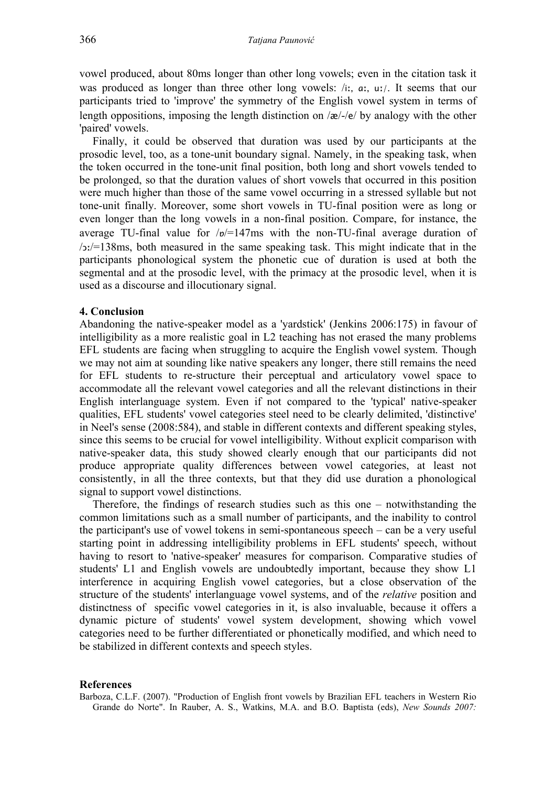vowel produced, about 80ms longer than other long vowels; even in the citation task it was produced as longer than three other long vowels: /iː, ɑː, uː/. It seems that our participants tried to 'improve' the symmetry of the English vowel system in terms of length oppositions, imposing the length distinction on /æ/-/e/ by analogy with the other 'paired' vowels.

Finally, it could be observed that duration was used by our participants at the prosodic level, too, as a tone-unit boundary signal. Namely, in the speaking task, when the token occurred in the tone-unit final position, both long and short vowels tended to be prolonged, so that the duration values of short vowels that occurred in this position were much higher than those of the same vowel occurring in a stressed syllable but not tone-unit finally. Moreover, some short vowels in TU-final position were as long or even longer than the long vowels in a non-final position. Compare, for instance, the average TU-final value for  $/p$  = 147ms with the non-TU-final average duration of  $/$  $\ge$ :/ $=$ 138ms, both measured in the same speaking task. This might indicate that in the participants phonological system the phonetic cue of duration is used at both the segmental and at the prosodic level, with the primacy at the prosodic level, when it is used as a discourse and illocutionary signal.

## **4. Conclusion**

Abandoning the native-speaker model as a 'yardstick' (Jenkins 2006:175) in favour of intelligibility as a more realistic goal in L2 teaching has not erased the many problems EFL students are facing when struggling to acquire the English vowel system. Though we may not aim at sounding like native speakers any longer, there still remains the need for EFL students to re-structure their perceptual and articulatory vowel space to accommodate all the relevant vowel categories and all the relevant distinctions in their English interlanguage system. Even if not compared to the 'typical' native-speaker qualities, EFL students' vowel categories steel need to be clearly delimited, 'distinctive' in Neel's sense (2008:584), and stable in different contexts and different speaking styles, since this seems to be crucial for vowel intelligibility. Without explicit comparison with native-speaker data, this study showed clearly enough that our participants did not produce appropriate quality differences between vowel categories, at least not consistently, in all the three contexts, but that they did use duration a phonological signal to support vowel distinctions.

Therefore, the findings of research studies such as this one – notwithstanding the common limitations such as a small number of participants, and the inability to control the participant's use of vowel tokens in semi-spontaneous speech – can be a very useful starting point in addressing intelligibility problems in EFL students' speech, without having to resort to 'native-speaker' measures for comparison. Comparative studies of students' L1 and English vowels are undoubtedly important, because they show L1 interference in acquiring English vowel categories, but a close observation of the structure of the students' interlanguage vowel systems, and of the *relative* position and distinctness of specific vowel categories in it, is also invaluable, because it offers a dynamic picture of students' vowel system development, showing which vowel categories need to be further differentiated or phonetically modified, and which need to be stabilized in different contexts and speech styles.

#### **References**

Barboza, C.L.F. (2007). "Production of English front vowels by Brazilian EFL teachers in Western Rio Grande do Norte". In Rauber, A. S., Watkins, M.A. and B.O. Baptista (eds), *New Sounds 2007:*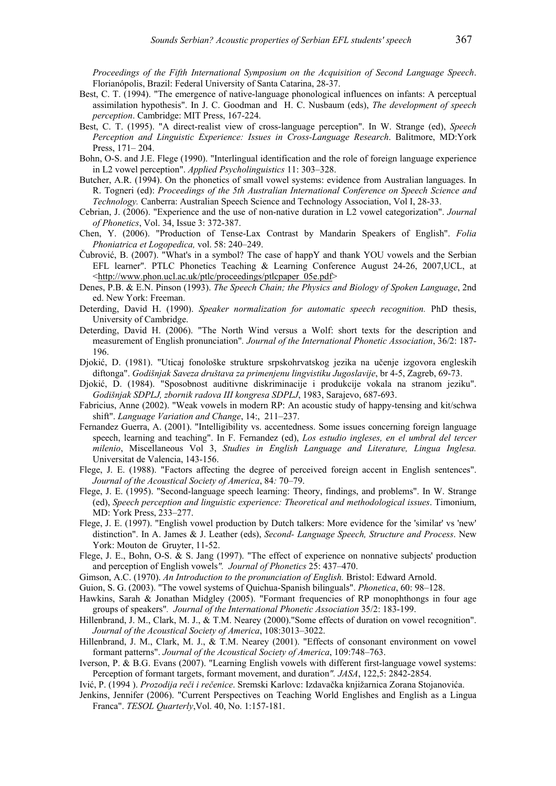*Proceedings of the Fifth International Symposium on the Acquisition of Second Language Speech*. Florianópolis, Brazil: Federal University of Santa Catarina, 28-37.

- Best, C. T. (1994). "The emergence of native-language phonological influences on infants: A perceptual assimilation hypothesis". In J. C. Goodman and H. C. Nusbaum (eds), *The development of speech perception*. Cambridge: MIT Press, 167-224.
- Best, C. T. (1995). "A direct-realist view of cross-language perception". In W. Strange (ed), *Speech Perception and Linguistic Experience: Issues in Cross-Language Research*. Balitmore, MD:York Press, 171– 204.
- Bohn, O-S. and J.E. Flege (1990). "Interlingual identification and the role of foreign language experience in L2 vowel perception". *Applied Psycholinguistics* 11: 303–328.
- Butcher, A.R. (1994). On the phonetics of small vowel systems: evidence from Australian languages. In R. Togneri (ed): *Proceedings of the 5th Australian International Conference on Speech Science and Technology.* Canberra: Australian Speech Science and Technology Association, Vol I, 28-33.
- Cebrian, J. (2006). "Experience and the use of non-native duration in L2 vowel categorization". *Journal of Phonetics*, Vol. 34, Issue 3: 372-387.
- Chen, Y. (2006). "Production of Tense-Lax Contrast by Mandarin Speakers of English". *Folia Phoniatrica et Logopedica,* vol. 58: 240–249.
- Čubrović, B. (2007). "What's in a symbol? The case of happY and thank YOU vowels and the Serbian EFL learner". PTLC Phonetics Teaching & Learning Conference August 24-26, 2007,UCL, at <http://www.phon.ucl.ac.uk/ptlc/proceedings/ptlcpaper\_05e.pdf>
- Denes, P.B. & E.N. Pinson (1993). *The Speech Chain; the Physics and Biology of Spoken Language*, 2nd ed. New York: Freeman.
- Deterding, David H. (1990). *Speaker normalization for automatic speech recognition.* PhD thesis, University of Cambridge.
- Deterding, David H. (2006). "The North Wind versus a Wolf: short texts for the description and measurement of English pronunciation"*. Journal of the International Phonetic Association*, 36/2: 187- 196.
- Djokić, D. (1981). "Uticaj fonološke strukture srpskohrvatskog jezika na učenje izgovora engleskih diftonga". *Godišnjak Saveza društava za primenjenu lingvistiku Jugoslavije*, br 4-5, Zagreb, 69-73.
- Djokić, D. (1984). "Sposobnost auditivne diskriminacije i produkcije vokala na stranom jeziku". *Godišnjak SDPLJ, zbornik radova III kongresa SDPLJ*, 1983, Sarajevo, 687-693.
- Fabricius, Anne (2002). "Weak vowels in modern RP: An acoustic study of happy-tensing and kit/schwa shift". *Language Variation and Change*, 14:, 211–237.
- Fernandez Guerra, A. (2001). "Intelligibility vs. accentedness. Some issues concerning foreign language speech, learning and teaching". In F. Fernandez (ed), *Los estudio ingleses, en el umbral del tercer milenio*, Miscellaneous Vol 3, *Studies in English Language and Literature, Lingua Inglesa.* Universitat de Valencia, 143-156.
- Flege, J. E. (1988). "Factors affecting the degree of perceived foreign accent in English sentences". *Journal of the Acoustical Society of America*, 84*:* 70–79.
- Flege, J. E. (1995). "Second-language speech learning: Theory, findings, and problems". In W. Strange (ed), *Speech perception and linguistic experience: Theoretical and methodological issues*. Timonium, MD: York Press, 233–277.
- Flege, J. E. (1997). "English vowel production by Dutch talkers: More evidence for the 'similar' vs 'new' distinction". In A. James & J. Leather (eds), *Second- Language Speech, Structure and Process*. New York: Mouton de Gruyter, 11-52.
- Flege, J. E., Bohn, O-S. & S. Jang (1997). "The effect of experience on nonnative subjects' production and perception of English vowels*". Journal of Phonetics* 25: 437–470.
- Gimson, A.C. (1970). *An Introduction to the pronunciation of English.* Bristol: Edward Arnold.
- Guion, S. G. (2003). "The vowel systems of Quichua-Spanish bilinguals". *Phonetica*, 60: 98–128.
- Hawkins, Sarah & Jonathan Midgley (2005). "Formant frequencies of RP monophthongs in four age groups of speakers"*. Journal of the International Phonetic Association* 35/2: 183-199.
- Hillenbrand, J. M., Clark, M. J., & T.M. Nearey (2000)."Some effects of duration on vowel recognition". *Journal of the Acoustical Society of America*, 108:3013–3022.
- Hillenbrand, J. M., Clark, M. J., & T.M. Nearey (2001). "Effects of consonant environment on vowel formant patterns". *Journal of the Acoustical Society of America*, 109:748–763.
- Iverson, P. & B.G. Evans (2007). "Learning English vowels with different first-language vowel systems: Perception of formant targets, formant movement, and duration*". JASA*, 122,5: 2842-2854.
- Ivić, P. (1994 ). *Prozodija reči i rečenice*. Sremski Karlovc: Izdavačka knjižarnica Zorana Stojanovića.
- Jenkins, Jennifer (2006). "Current Perspectives on Teaching World Englishes and English as a Lingua Franca". *TESOL Quarterly*,Vol. 40, No. 1:157-181.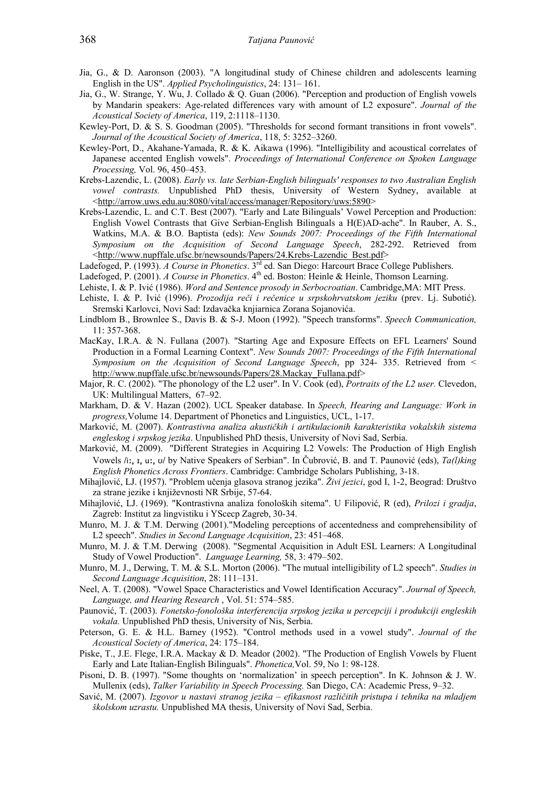- Jia, G., & D. Aaronson (2003). "A longitudinal study of Chinese children and adolescents learning English in the US". *Applied Psycholinguistics*, 24: 131– 161.
- Jia, G., W. Strange, Y. Wu, J. Collado & Q. Guan (2006). "Perception and production of English vowels by Mandarin speakers: Age-related differences vary with amount of L2 exposure". *Journal of the Acoustical Society of America*, 119, 2:1118–1130.
- Kewley-Port, D. & S. S. Goodman (2005). "Thresholds for second formant transitions in front vowels". *Journal of the Acoustical Society of America*, 118, 5: 3252–3260.
- Kewley-Port, D., Akahane-Yamada, R. & K. Aikawa (1996). "Intelligibility and acoustical correlates of Japanese accented English vowels". *Proceedings of International Conference on Spoken Language Processing,* Vol. 96, 450–453.
- Krebs-Lazendic, L. (2008). *Early vs. late Serbian-English bilinguals' responses to two Australian English vowel contrasts.* Unpublished PhD thesis, University of Western Sydney, available at <http://arrow.uws.edu.au:8080/vital/access/manager/Repository/uws:5890>
- Krebs-Lazendic, L. and C.T. Best (2007). "Early and Late Bilinguals' Vowel Perception and Production: English Vowel Contrasts that Give Serbian-English Bilinguals a H(E)AD-ache". In Rauber, A. S., Watkins, M.A. & B.O. Baptista (eds): *New Sounds 2007: Proceedings of the Fifth International Symposium on the Acquisition of Second Language Speech*, 282-292. Retrieved from <http://www.nupffale.ufsc.br/newsounds/Papers/24.Krebs-Lazendic\_Best.pdf>
- Ladefoged, P. (1993). *A Course in Phonetics*. 3<sup>rd</sup> ed. San Diego: Harcourt Brace College Publishers.
- Ladefoged, P. (2001). *A Course in Phonetics*. 4<sup>th</sup> ed. Boston: Heinle & Heinle, Thomson Learning.
- Lehiste, I. & P. Ivić (1986). *Word and Sentence prosody in Serbocroatian*. Cambridge,MA: MIT Press.
- Lehiste, I. & P. Ivić (1996). *Prozodija reči i rečenice u srpskohrvatskom jeziku* (prev. Lj. Subotić). Sremski Karlovci, Novi Sad: Izdavačka knjiarnica Zorana Sojanovića.
- Lindblom B., Brownlee S., Davis B. & S-J. Moon (1992). "Speech transforms". *Speech Communication,*  11: 357-368.
- MacKay, I.R.A. & N. Fullana (2007). "Starting Age and Exposure Effects on EFL Learners' Sound Production in a Formal Learning Context". *New Sounds 2007: Proceedings of the Fifth International Symposium on the Acquisition of Second Language Speech*, pp 324- 335. Retrieved from < http://www.nupffale.ufsc.br/newsounds/Papers/28.Mackay\_Fullana.pdf>
- Major, R. C. (2002). "The phonology of the L2 user". In V. Cook (ed), *Portraits of the L2 user.* Clevedon, UK: Multilingual Matters, 67–92.
- Markham, D. & V. Hazan (2002). UCL Speaker database. In *Speech, Hearing and Language: Work in progress,*Volume 14. Department of Phonetics and Linguistics, UCL, 1-17.
- Marković, M. (2007). *Kontrastivna analiza akustičkih i artikulacionih karakteristika vokalskih sistema engleskog i srpskog jezika*. Unpublished PhD thesis, University of Novi Sad, Serbia.
- Marković, M. (2009). "Different Strategies in Acquiring L2 Vowels: The Production of High English Vowels **/**iː, ɪ, uː, ʊ**/** by Native Speakers of Serbian". In Čubrović, B. and T. Paunović (eds), *Ta(l)king English Phonetics Across Frontiers*. Cambridge: Cambridge Scholars Publishing, 3-18.
- Mihajlović, LJ. (1957). "Problem učenja glasova stranog jezika". *Živi jezici*, god I, 1-2, Beograd: Društvo za strane jezike i književnosti NR Srbije, 57-64.
- Mihajlović, LJ. (1969). "Kontrastivna analiza fonoloških sitema". U Filipović, R (ed), *Prilozi i gradja*, Zagreb: Institut za lingvistiku i YScecp Zagreb, 30-34.
- Munro, M. J. & T.M. Derwing (2001)."Modeling perceptions of accentedness and comprehensibility of L2 speech". *Studies in Second Language Acquisition*, 23: 451–468.
- Munro, M. J. & T.M. Derwing (2008). "Segmental Acquisition in Adult ESL Learners: A Longitudinal Study of Vowel Production". *Language Learning,* 58, 3: 479–502.
- Munro, M. J., Derwing, T. M. & S.L. Morton (2006). "The mutual intelligibility of L2 speech". *Studies in Second Language Acquisition*, 28: 111–131.
- Neel, A. T. (2008). "Vowel Space Characteristics and Vowel Identification Accuracy". *Journal of Speech, Language, and Hearing Research* , Vol. 51: 574–585.
- Paunović, T. (2003). *Fonetsko-fonološka interferencija srpskog jezika u percepciji i produkciji engleskih vokala.* Unpublished PhD thesis, University of Nis, Serbia.
- Peterson, G. E. & H.L. Barney (1952). "Control methods used in a vowel study". *Journal of the Acoustical Society of America*, 24: 175–184.
- Piske, T., J.E. Flege, I.R.A. Mackay & D. Meador (2002). "The Production of English Vowels by Fluent Early and Late Italian-English Bilinguals". *Phonetica,*Vol. 59, No 1: 98-128.
- Pisoni, D. B. (1997). "Some thoughts on 'normalization' in speech perception". In K. Johnson & J. W. Mullenix (eds), *Talker Variability in Speech Processing.* San Diego, CA: Academic Press, 9–32.
- Savić, M. (2007). *Izgovor u nastavi stranog jezika efikasnost različitih pristupa i tehnika na mladjem školskom uzrastu.* Unpublished MA thesis, University of Novi Sad, Serbia.